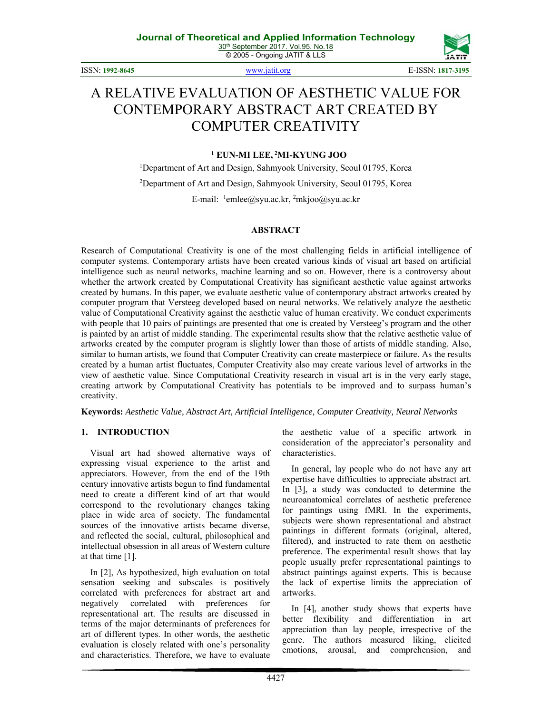© 2005 - Ongoing JATIT & LLS

ISSN: **1992-8645** www.jatit.org E-ISSN: **1817-3195** 



# A RELATIVE EVALUATION OF AESTHETIC VALUE FOR CONTEMPORARY ABSTRACT ART CREATED BY COMPUTER CREATIVITY

#### **<sup>1</sup> EUN-MI LEE, 2MI-KYUNG JOO**

<sup>1</sup>Department of Art and Design, Sahmyook University, Seoul 01795, Korea <sup>2</sup>Department of Art and Design, Sahmyook University, Seoul 01795, Korea E-mail: <sup>1</sup>emlee@syu.ac.kr, <sup>2</sup>mkjoo@syu.ac.kr

#### **ABSTRACT**

Research of Computational Creativity is one of the most challenging fields in artificial intelligence of computer systems. Contemporary artists have been created various kinds of visual art based on artificial intelligence such as neural networks, machine learning and so on. However, there is a controversy about whether the artwork created by Computational Creativity has significant aesthetic value against artworks created by humans. In this paper, we evaluate aesthetic value of contemporary abstract artworks created by computer program that Versteeg developed based on neural networks. We relatively analyze the aesthetic value of Computational Creativity against the aesthetic value of human creativity. We conduct experiments with people that 10 pairs of paintings are presented that one is created by Versteeg's program and the other is painted by an artist of middle standing. The experimental results show that the relative aesthetic value of artworks created by the computer program is slightly lower than those of artists of middle standing. Also, similar to human artists, we found that Computer Creativity can create masterpiece or failure. As the results created by a human artist fluctuates, Computer Creativity also may create various level of artworks in the view of aesthetic value. Since Computational Creativity research in visual art is in the very early stage, creating artwork by Computational Creativity has potentials to be improved and to surpass human's creativity.

**Keywords:** *Aesthetic Value, Abstract Art, Artificial Intelligence, Computer Creativity, Neural Networks*

#### **1. INTRODUCTION**

Visual art had showed alternative ways of expressing visual experience to the artist and appreciators. However, from the end of the 19th century innovative artists begun to find fundamental need to create a different kind of art that would correspond to the revolutionary changes taking place in wide area of society. The fundamental sources of the innovative artists became diverse, and reflected the social, cultural, philosophical and intellectual obsession in all areas of Western culture at that time [1].

In [2], As hypothesized, high evaluation on total sensation seeking and subscales is positively correlated with preferences for abstract art and negatively correlated with preferences for representational art. The results are discussed in terms of the major determinants of preferences for art of different types. In other words, the aesthetic evaluation is closely related with one's personality and characteristics. Therefore, we have to evaluate the aesthetic value of a specific artwork in consideration of the appreciator's personality and characteristics.

In general, lay people who do not have any art expertise have difficulties to appreciate abstract art. In [3], a study was conducted to determine the neuroanatomical correlates of aesthetic preference for paintings using fMRI. In the experiments, subjects were shown representational and abstract paintings in different formats (original, altered, filtered), and instructed to rate them on aesthetic preference. The experimental result shows that lay people usually prefer representational paintings to abstract paintings against experts. This is because the lack of expertise limits the appreciation of artworks.

In [4], another study shows that experts have better flexibility and differentiation in art appreciation than lay people, irrespective of the genre. The authors measured liking, elicited emotions, arousal, and comprehension, and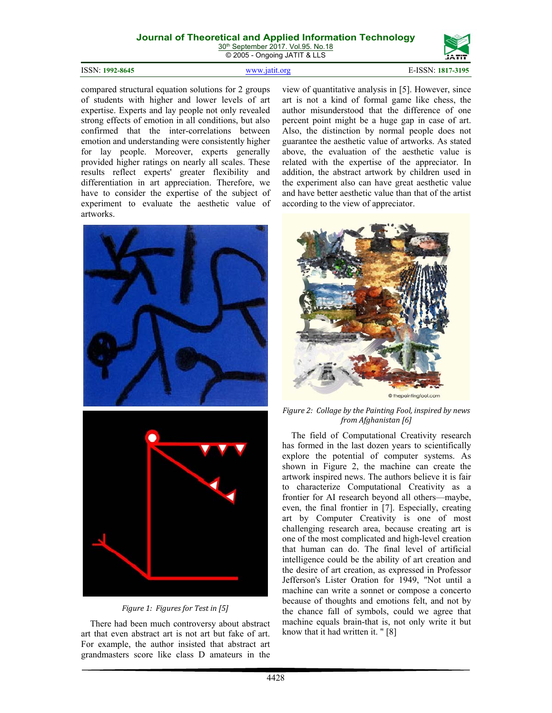30<sup>th</sup> September 2017. Vol.95. No.18 © 2005 - Ongoing JATIT & LLS

#### ISSN: **1992-8645** www.jatit.org E-ISSN: **1817-3195**



compared structural equation solutions for 2 groups of students with higher and lower levels of art expertise. Experts and lay people not only revealed strong effects of emotion in all conditions, but also confirmed that the inter-correlations between emotion and understanding were consistently higher for lay people. Moreover, experts generally provided higher ratings on nearly all scales. These results reflect experts' greater flexibility and differentiation in art appreciation. Therefore, we have to consider the expertise of the subject of experiment to evaluate the aesthetic value of artworks.



*Figure 1: Figures for Test in [5]*

There had been much controversy about abstract art that even abstract art is not art but fake of art. For example, the author insisted that abstract art grandmasters score like class D amateurs in the

view of quantitative analysis in [5]. However, since art is not a kind of formal game like chess, the author misunderstood that the difference of one percent point might be a huge gap in case of art. Also, the distinction by normal people does not guarantee the aesthetic value of artworks. As stated above, the evaluation of the aesthetic value is related with the expertise of the appreciator. In addition, the abstract artwork by children used in the experiment also can have great aesthetic value and have better aesthetic value than that of the artist according to the view of appreciator.



*Figure 2: Collage by the Painting Fool, inspired by news from Afghanistan [6]*

The field of Computational Creativity research has formed in the last dozen years to scientifically explore the potential of computer systems. As shown in Figure 2, the machine can create the artwork inspired news. The authors believe it is fair to characterize Computational Creativity as a frontier for AI research beyond all others—maybe, even, the final frontier in [7]. Especially, creating art by Computer Creativity is one of most challenging research area, because creating art is one of the most complicated and high-level creation that human can do. The final level of artificial intelligence could be the ability of art creation and the desire of art creation, as expressed in Professor Jefferson's Lister Oration for 1949, "Not until a machine can write a sonnet or compose a concerto because of thoughts and emotions felt, and not by the chance fall of symbols, could we agree that machine equals brain-that is, not only write it but know that it had written it. " [8]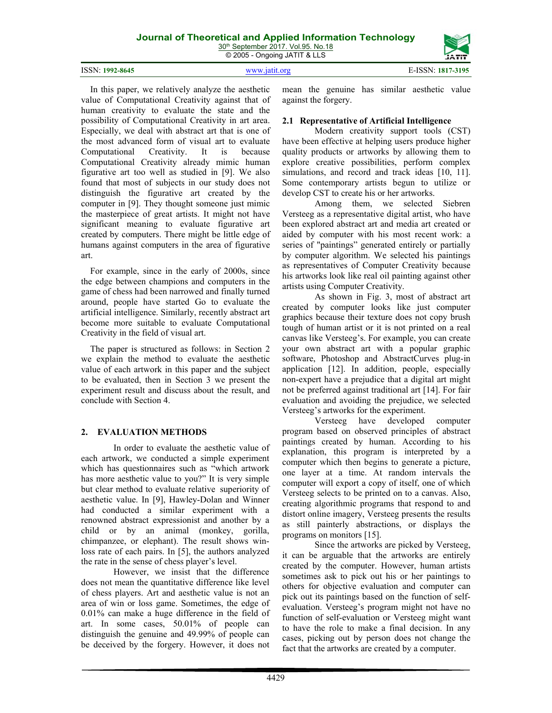30<sup>th</sup> September 2017. Vol.95. No.18

|                 | © 2005 - Ongoing JATIT & LLS | <b>JATIT</b>      |
|-----------------|------------------------------|-------------------|
| ISSN: 1992-8645 | www.jatit.org                | E-ISSN: 1817-3195 |

In this paper, we relatively analyze the aesthetic value of Computational Creativity against that of human creativity to evaluate the state and the possibility of Computational Creativity in art area. Especially, we deal with abstract art that is one of the most advanced form of visual art to evaluate Computational Creativity. It is because Computational Creativity already mimic human figurative art too well as studied in [9]. We also found that most of subjects in our study does not distinguish the figurative art created by the computer in [9]. They thought someone just mimic the masterpiece of great artists. It might not have significant meaning to evaluate figurative art created by computers. There might be little edge of humans against computers in the area of figurative art.

For example, since in the early of 2000s, since the edge between champions and computers in the game of chess had been narrowed and finally turned around, people have started Go to evaluate the artificial intelligence. Similarly, recently abstract art become more suitable to evaluate Computational Creativity in the field of visual art.

The paper is structured as follows: in Section 2 we explain the method to evaluate the aesthetic value of each artwork in this paper and the subject to be evaluated, then in Section 3 we present the experiment result and discuss about the result, and conclude with Section 4.

# **2. EVALUATION METHODS**

In order to evaluate the aesthetic value of each artwork, we conducted a simple experiment which has questionnaires such as "which artwork has more aesthetic value to you?" It is very simple but clear method to evaluate relative superiority of aesthetic value. In [9], Hawley-Dolan and Winner had conducted a similar experiment with a renowned abstract expressionist and another by a child or by an animal (monkey, gorilla, chimpanzee, or elephant). The result shows winloss rate of each pairs. In [5], the authors analyzed the rate in the sense of chess player's level.

However, we insist that the difference does not mean the quantitative difference like level of chess players. Art and aesthetic value is not an area of win or loss game. Sometimes, the edge of 0.01% can make a huge difference in the field of art. In some cases, 50.01% of people can distinguish the genuine and 49.99% of people can be deceived by the forgery. However, it does not

mean the genuine has similar aesthetic value against the forgery.

### **2.1 Representative of Artificial Intelligence**

Modern creativity support tools (CST) have been effective at helping users produce higher quality products or artworks by allowing them to explore creative possibilities, perform complex simulations, and record and track ideas [10, 11]. Some contemporary artists begun to utilize or develop CST to create his or her artworks.

Among them, we selected Siebren Versteeg as a representative digital artist, who have been explored abstract art and media art created or aided by computer with his most recent work: a series of "paintings" generated entirely or partially by computer algorithm. We selected his paintings as representatives of Computer Creativity because his artworks look like real oil painting against other artists using Computer Creativity.

As shown in Fig. 3, most of abstract art created by computer looks like just computer graphics because their texture does not copy brush tough of human artist or it is not printed on a real canvas like Versteeg's. For example, you can create your own abstract art with a popular graphic software, Photoshop and AbstractCurves plug-in application [12]. In addition, people, especially non-expert have a prejudice that a digital art might not be preferred against traditional art [14]. For fair evaluation and avoiding the prejudice, we selected Versteeg's artworks for the experiment.

Versteeg have developed computer program based on observed principles of abstract paintings created by human. According to his explanation, this program is interpreted by a computer which then begins to generate a picture, one layer at a time. At random intervals the computer will export a copy of itself, one of which Versteeg selects to be printed on to a canvas. Also, creating algorithmic programs that respond to and distort online imagery, Versteeg presents the results as still painterly abstractions, or displays the programs on monitors [15].

Since the artworks are picked by Versteeg, it can be arguable that the artworks are entirely created by the computer. However, human artists sometimes ask to pick out his or her paintings to others for objective evaluation and computer can pick out its paintings based on the function of selfevaluation. Versteeg's program might not have no function of self-evaluation or Versteeg might want to have the role to make a final decision. In any cases, picking out by person does not change the fact that the artworks are created by a computer.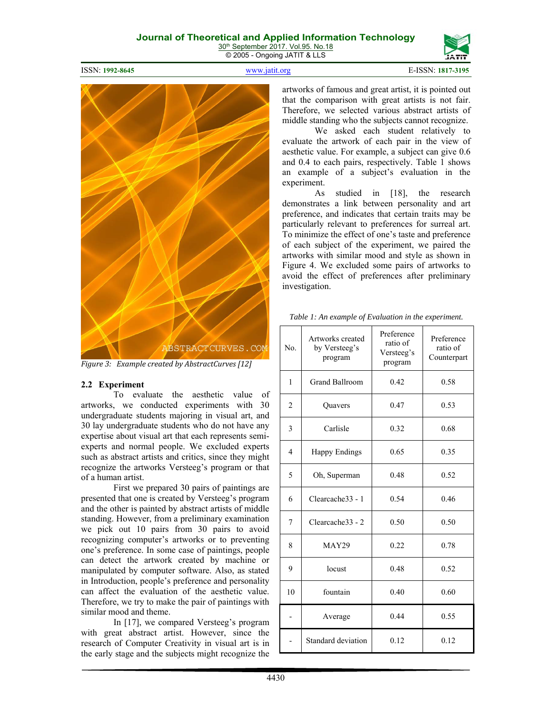30<sup>th</sup> September 2017. Vol.95. No.18 © 2005 - Ongoing JATIT & LLS

ISSN: **1992-8645** www.jatit.org E-ISSN: **1817-3195** 





*Figure 3: Example created by AbstractCurves [12]*

#### **2.2 Experiment**

To evaluate the aesthetic value of artworks, we conducted experiments with 30 undergraduate students majoring in visual art, and 30 lay undergraduate students who do not have any expertise about visual art that each represents semiexperts and normal people. We excluded experts such as abstract artists and critics, since they might recognize the artworks Versteeg's program or that of a human artist.

First we prepared 30 pairs of paintings are presented that one is created by Versteeg's program and the other is painted by abstract artists of middle standing. However, from a preliminary examination we pick out 10 pairs from 30 pairs to avoid recognizing computer's artworks or to preventing one's preference. In some case of paintings, people can detect the artwork created by machine or manipulated by computer software. Also, as stated in Introduction, people's preference and personality can affect the evaluation of the aesthetic value. Therefore, we try to make the pair of paintings with similar mood and theme.

In [17], we compared Versteeg's program with great abstract artist. However, since the research of Computer Creativity in visual art is in the early stage and the subjects might recognize the artworks of famous and great artist, it is pointed out that the comparison with great artists is not fair. Therefore, we selected various abstract artists of middle standing who the subjects cannot recognize.

We asked each student relatively to evaluate the artwork of each pair in the view of aesthetic value. For example, a subject can give 0.6 and 0.4 to each pairs, respectively. Table 1 shows an example of a subject's evaluation in the experiment.

As studied in [18], the research demonstrates a link between personality and art preference, and indicates that certain traits may be particularly relevant to preferences for surreal art. To minimize the effect of one's taste and preference of each subject of the experiment, we paired the artworks with similar mood and style as shown in Figure 4. We excluded some pairs of artworks to avoid the effect of preferences after preliminary investigation.

|  |  | Table 1: An example of Evaluation in the experiment. |
|--|--|------------------------------------------------------|
|  |  |                                                      |

| N <sub>0</sub> | Artworks created<br>by Versteeg's<br>program | Preference<br>ratio of<br>Versteeg's<br>program | Preference<br>ratio of<br>Counterpart |
|----------------|----------------------------------------------|-------------------------------------------------|---------------------------------------|
| 1              | <b>Grand Ballroom</b>                        | 0.42                                            | 0.58                                  |
| $\overline{2}$ | Quavers                                      | 0.47                                            | 0.53                                  |
| 3              | Carlisle                                     | 0.32                                            | 0.68                                  |
| 4              | <b>Happy Endings</b>                         | 0.65                                            | 0.35                                  |
| 5              | Oh, Superman                                 | 0.48                                            | 0.52                                  |
| 6              | Clearcache33 - 1                             | 0.54                                            | 0.46                                  |
| 7              | Clearcache33 - 2                             | 0.50                                            | 0.50                                  |
| 8              | <b>MAY29</b>                                 | 0.22                                            | 0.78                                  |
| 9              | locust                                       | 0.48                                            | 0.52                                  |
| 10             | fountain                                     | 0.40                                            | 0.60                                  |
|                | Average                                      | 0.44                                            | 0.55                                  |
|                | Standard deviation                           | 0.12                                            | 0.12                                  |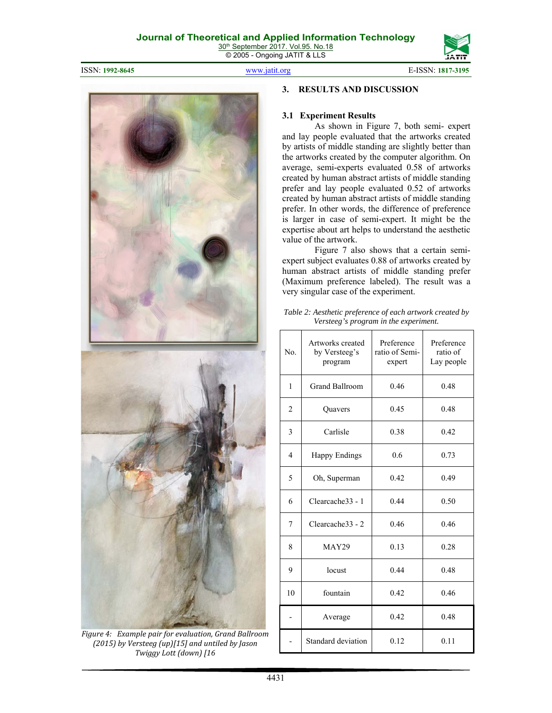© 2005 - Ongoing JATIT & LLS

ISSN: **1992-8645** www.jatit.org E-ISSN: **1817-3195** 



*Figure 4: Example pair for evaluation, Grand Ballroom (2015) by Versteeg (up)[15] and untiled by Jason Twiggy Lott (down) [16*

## **3. RESULTS AND DISCUSSION**

#### **3.1 Experiment Results**

As shown in Figure 7, both semi- expert and lay people evaluated that the artworks created by artists of middle standing are slightly better than the artworks created by the computer algorithm. On average, semi-experts evaluated 0.58 of artworks created by human abstract artists of middle standing prefer and lay people evaluated 0.52 of artworks created by human abstract artists of middle standing prefer. In other words, the difference of preference is larger in case of semi-expert. It might be the expertise about art helps to understand the aesthetic value of the artwork.

Figure 7 also shows that a certain semiexpert subject evaluates 0.88 of artworks created by human abstract artists of middle standing prefer (Maximum preference labeled). The result was a very singular case of the experiment.

*Table 2: Aesthetic preference of each artwork created by Versteeg's program in the experiment.*

| No. | Artworks created<br>by Versteeg's<br>program | Preference<br>ratio of Semi-<br>expert | Preference<br>ratio of<br>Lay people |
|-----|----------------------------------------------|----------------------------------------|--------------------------------------|
| 1   | <b>Grand Ballroom</b>                        | 0.46                                   | 0.48                                 |
| 2   | Quavers                                      | 0.45                                   | 0.48                                 |
| 3   | Carlisle                                     | 0.38                                   | 0.42                                 |
| 4   | Happy Endings                                | 0.6                                    | 0.73                                 |
| 5   | Oh, Superman                                 | 0.42                                   | 0.49                                 |
| 6   | Clearcache33 - 1                             | 0.44                                   | 0.50                                 |
| 7   | Clearcache33 - 2                             | 0.46                                   | 0.46                                 |
| 8   | <b>MAY29</b>                                 | 0.13                                   | 0.28                                 |
| 9   | locust                                       | 0.44                                   | 0.48                                 |
| 10  | fountain                                     | 0.42                                   | 0.46                                 |
|     | Average                                      | 0.42                                   | 0.48                                 |
|     | Standard deviation                           | 0.12                                   | 0.11                                 |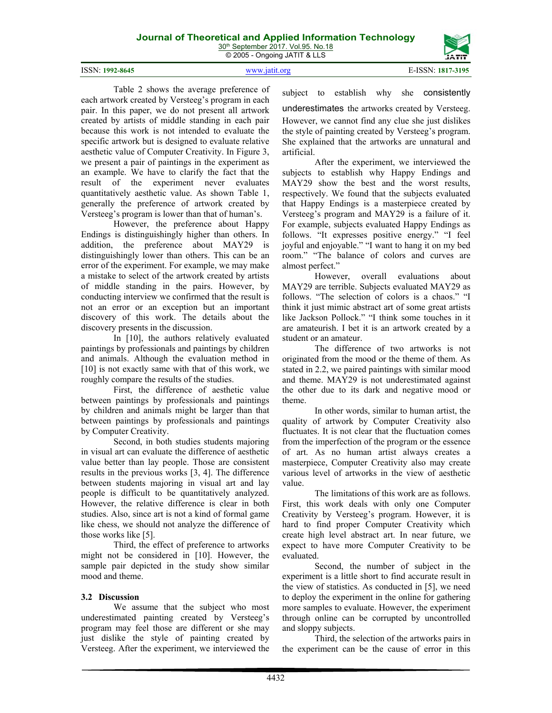30<sup>th</sup> September 2017. Vol.95. No.18 © 2005 - Ongoing JATIT & LLS



4432

subject to establish why she consistently underestimates the artworks created by Versteeg. However, we cannot find any clue she just dislikes the style of painting created by Versteeg's program. She explained that the artworks are unnatural and artificial.

After the experiment, we interviewed the subjects to establish why Happy Endings and MAY29 show the best and the worst results, respectively. We found that the subjects evaluated that Happy Endings is a masterpiece created by Versteeg's program and MAY29 is a failure of it. For example, subjects evaluated Happy Endings as follows. "It expresses positive energy." "I feel joyful and enjoyable." "I want to hang it on my bed room." "The balance of colors and curves are almost perfect."

However, overall evaluations about MAY29 are terrible. Subjects evaluated MAY29 as follows. "The selection of colors is a chaos." "I think it just mimic abstract art of some great artists like Jackson Pollock." "I think some touches in it are amateurish. I bet it is an artwork created by a student or an amateur.

The difference of two artworks is not originated from the mood or the theme of them. As stated in 2.2, we paired paintings with similar mood and theme. MAY29 is not underestimated against the other due to its dark and negative mood or theme.

In other words, similar to human artist, the quality of artwork by Computer Creativity also fluctuates. It is not clear that the fluctuation comes from the imperfection of the program or the essence of art. As no human artist always creates a masterpiece, Computer Creativity also may create various level of artworks in the view of aesthetic value.

The limitations of this work are as follows. First, this work deals with only one Computer Creativity by Versteeg's program. However, it is hard to find proper Computer Creativity which create high level abstract art. In near future, we expect to have more Computer Creativity to be evaluated.

Second, the number of subject in the experiment is a little short to find accurate result in the view of statistics. As conducted in [5], we need to deploy the experiment in the online for gathering more samples to evaluate. However, the experiment through online can be corrupted by uncontrolled and sloppy subjects.

Third, the selection of the artworks pairs in the experiment can be the cause of error in this

Table 2 shows the average preference of each artwork created by Versteeg's program in each pair. In this paper, we do not present all artwork created by artists of middle standing in each pair because this work is not intended to evaluate the specific artwork but is designed to evaluate relative aesthetic value of Computer Creativity. In Figure 3, we present a pair of paintings in the experiment as an example. We have to clarify the fact that the result of the experiment never evaluates quantitatively aesthetic value. As shown Table 1, generally the preference of artwork created by Versteeg's program is lower than that of human's.

However, the preference about Happy Endings is distinguishingly higher than others. In addition, the preference about MAY29 is distinguishingly lower than others. This can be an error of the experiment. For example, we may make a mistake to select of the artwork created by artists of middle standing in the pairs. However, by conducting interview we confirmed that the result is not an error or an exception but an important discovery of this work. The details about the discovery presents in the discussion.

In [10], the authors relatively evaluated paintings by professionals and paintings by children and animals. Although the evaluation method in [10] is not exactly same with that of this work, we roughly compare the results of the studies.

First, the difference of aesthetic value between paintings by professionals and paintings by children and animals might be larger than that between paintings by professionals and paintings by Computer Creativity.

Second, in both studies students majoring in visual art can evaluate the difference of aesthetic value better than lay people. Those are consistent results in the previous works [3, 4]. The difference between students majoring in visual art and lay people is difficult to be quantitatively analyzed. However, the relative difference is clear in both studies. Also, since art is not a kind of formal game like chess, we should not analyze the difference of those works like [5].

Third, the effect of preference to artworks might not be considered in [10]. However, the sample pair depicted in the study show similar mood and theme.

#### **3.2 Discussion**

We assume that the subject who most underestimated painting created by Versteeg's program may feel those are different or she may just dislike the style of painting created by Versteeg. After the experiment, we interviewed the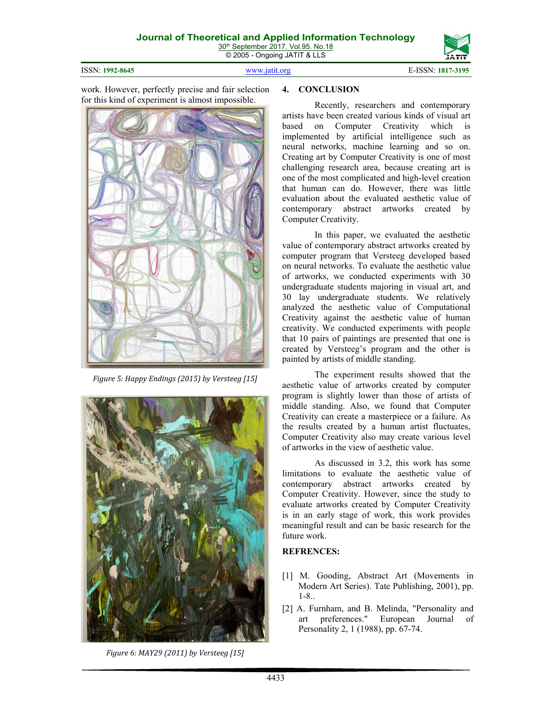© 2005 - Ongoing JATIT & LLS

ISSN: **1992-8645** www.jatit.org E-ISSN: **1817-3195** 



work. However, perfectly precise and fair selection for this kind of experiment is almost impossible.



*Figure 5: Happy Endings (2015) by Versteeg [15]*



*Figure 6: MAY29 (2011) by Versteeg [15]*

#### **4. CONCLUSION**

Recently, researchers and contemporary artists have been created various kinds of visual art based on Computer Creativity which is implemented by artificial intelligence such as neural networks, machine learning and so on. Creating art by Computer Creativity is one of most challenging research area, because creating art is one of the most complicated and high-level creation that human can do. However, there was little evaluation about the evaluated aesthetic value of contemporary abstract artworks created by Computer Creativity.

In this paper, we evaluated the aesthetic value of contemporary abstract artworks created by computer program that Versteeg developed based on neural networks. To evaluate the aesthetic value of artworks, we conducted experiments with 30 undergraduate students majoring in visual art, and 30 lay undergraduate students. We relatively analyzed the aesthetic value of Computational Creativity against the aesthetic value of human creativity. We conducted experiments with people that 10 pairs of paintings are presented that one is created by Versteeg's program and the other is painted by artists of middle standing.

The experiment results showed that the aesthetic value of artworks created by computer program is slightly lower than those of artists of middle standing. Also, we found that Computer Creativity can create a masterpiece or a failure. As the results created by a human artist fluctuates, Computer Creativity also may create various level of artworks in the view of aesthetic value.

As discussed in 3.2, this work has some limitations to evaluate the aesthetic value of contemporary abstract artworks created by Computer Creativity. However, since the study to evaluate artworks created by Computer Creativity is in an early stage of work, this work provides meaningful result and can be basic research for the future work.

#### **REFRENCES:**

- [1] M. Gooding, Abstract Art (Movements in Modern Art Series). Tate Publishing, 2001), pp. 1-8..
- [2] A. Furnham, and B. Melinda, "Personality and art preferences." European Journal of Personality 2, 1 (1988), pp. 67-74.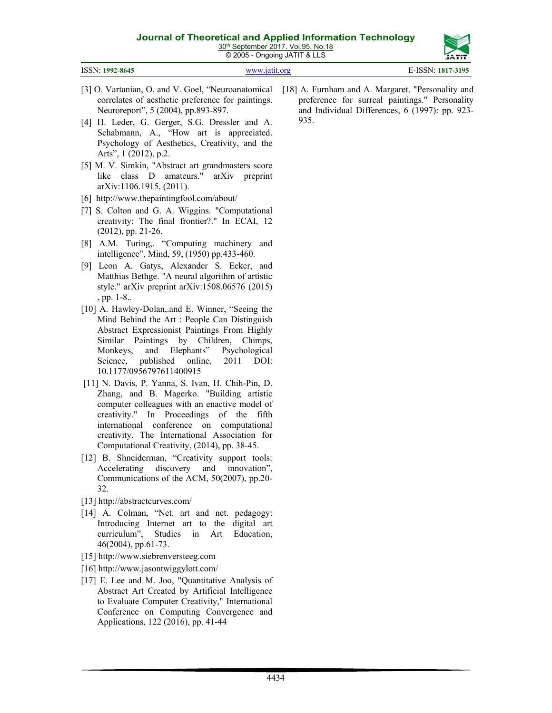30<sup>th</sup> September 2017. Vol.95. No.18 © 2005 - Ongoing JATIT & LLS

|                 | - ت           | -----             |
|-----------------|---------------|-------------------|
| ISSN: 1992-8645 | www.jatit.org | E-ISSN: 1817-3195 |
|                 |               |                   |

- [3] O. Vartanian, O. and V. Goel, "Neuroanatomical [18] A. Furnham and A. Margaret, "Personality and correlates of aesthetic preference for paintings. Neuroreport", 5 (2004), pp.893-897.
- [4] H. Leder, G. Gerger, S.G. Dressler and A. Schabmann, A., "How art is appreciated. Psychology of Aesthetics, Creativity, and the Arts", 1 (2012), p.2.
- [5] M. V. Simkin, "Abstract art grandmasters score like class D amateurs." arXiv preprint arXiv:1106.1915, (2011).
- [6] http://www.thepaintingfool.com/about/
- [7] S. Colton and G. A. Wiggins. "Computational creativity: The final frontier?." In ECAI, 12 (2012), pp. 21-26.
- [8] A.M. Turing,. "Computing machinery and intelligence", Mind, 59, (1950) pp.433-460.
- [9] Leon A. Gatys, Alexander S. Ecker, and Matthias Bethge. "A neural algorithm of artistic style." arXiv preprint arXiv:1508.06576 (2015) , pp. 1-8..
- [10] A. Hawley-Dolan, and E. Winner, "Seeing the Mind Behind the Art : People Can Distinguish Abstract Expressionist Paintings From Highly Similar Paintings by Children, Chimps, Monkeys, and Elephants" Psychological Science, published online, 2011 DOI: 10.1177/0956797611400915
- [11] N. Davis, P. Yanna, S. Ivan, H. Chih-Pin, D. Zhang, and B. Magerko. "Building artistic computer colleagues with an enactive model of creativity." In Proceedings of the fifth international conference on computational creativity. The International Association for Computational Creativity, (2014), pp. 38-45.
- [12] B. Shneiderman, "Creativity support tools: Accelerating discovery and innovation", Communications of the ACM, 50(2007), pp.20- 32.
- [13] http://abstractcurves.com/
- [14] A. Colman, "Net. art and net. pedagogy: Introducing Internet art to the digital art curriculum", Studies in Art Education, 46(2004), pp.61-73.
- [15] http://www.siebrenversteeg.com
- [16] http://www.jasontwiggylott.com/
- [17] E. Lee and M. Joo, "Quantitative Analysis of Abstract Art Created by Artificial Intelligence to Evaluate Computer Creativity," International Conference on Computing Convergence and Applications, 122 (2016), pp. 41-44

preference for surreal paintings." Personality and Individual Differences, 6 (1997): pp. 923- 935.